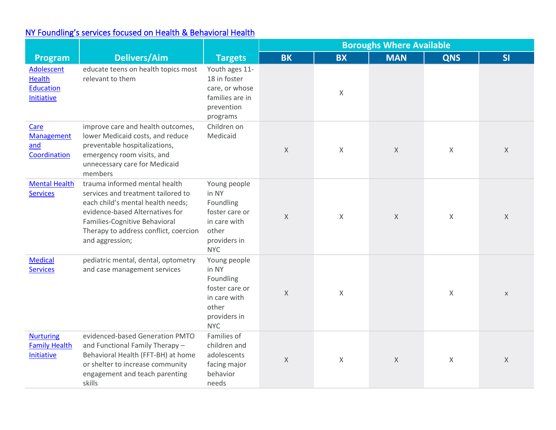## [NY Foundling's services focused on H](https://www.nyfoundling.org/what-we-do/our-programs/behavioral-health/)ealth & Behavioral Health

|                                                        |                                                                                                                                                                                                                                          |                                                                                                             | <b>Boroughs Where Available</b> |             |             |             |              |
|--------------------------------------------------------|------------------------------------------------------------------------------------------------------------------------------------------------------------------------------------------------------------------------------------------|-------------------------------------------------------------------------------------------------------------|---------------------------------|-------------|-------------|-------------|--------------|
| Program                                                | <b>Delivers/Aim</b>                                                                                                                                                                                                                      | <b>Targets</b>                                                                                              | <b>BK</b>                       | <b>BX</b>   | <b>MAN</b>  | <b>QNS</b>  | SI           |
| Adolescent<br>Health<br><b>Education</b><br>Initiative | educate teens on health topics most<br>relevant to them                                                                                                                                                                                  | Youth ages 11-<br>18 in foster<br>care, or whose<br>families are in<br>prevention<br>programs               |                                 | X           |             |             |              |
| Care<br>Management<br>and<br>Coordination              | improve care and health outcomes,<br>lower Medicaid costs, and reduce<br>preventable hospitalizations,<br>emergency room visits, and<br>unnecessary care for Medicaid<br>members                                                         | Children on<br>Medicaid                                                                                     | $\chi$                          | $\times$    | $\mathsf X$ | $\times$    | X            |
| <b>Mental Health</b><br><b>Services</b>                | trauma informed mental health<br>services and treatment tailored to<br>each child's mental health needs;<br>evidence-based Alternatives for<br>Families-Cognitive Behavioral<br>Therapy to address conflict, coercion<br>and aggression; | Young people<br>in NY<br>Foundling<br>foster care or<br>in care with<br>other<br>providers in<br><b>NYC</b> | $\times$                        | $\times$    | $\mathsf X$ | $\mathsf X$ | X            |
| <b>Medical</b><br>Services                             | pediatric mental, dental, optometry<br>and case management services                                                                                                                                                                      | Young people<br>in NY<br>Foundling<br>foster care or<br>in care with<br>other<br>providers in<br><b>NYC</b> | $\times$                        | $\mathsf X$ |             | $\chi$      | $\mathsf{X}$ |
| <b>Nurturing</b><br><b>Family Health</b><br>Initiative | evidenced-based Generation PMTO<br>and Functional Family Therapy -<br>Behavioral Health (FFT-BH) at home<br>or shelter to increase community<br>engagement and teach parenting<br>skills                                                 | Families of<br>children and<br>adolescents<br>facing major<br>behavior<br>needs                             | $\mathsf X$                     | $\mathsf X$ | $\mathsf X$ | $\times$    | $\times$     |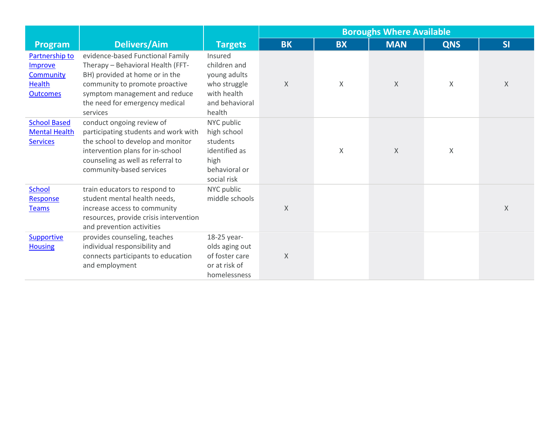|                                                                            |                                                                                                                                                                                                                          |                                                                                                    | <b>Boroughs Where Available</b> |           |            |            |          |
|----------------------------------------------------------------------------|--------------------------------------------------------------------------------------------------------------------------------------------------------------------------------------------------------------------------|----------------------------------------------------------------------------------------------------|---------------------------------|-----------|------------|------------|----------|
| Program                                                                    | <b>Delivers/Aim</b>                                                                                                                                                                                                      | <b>Targets</b>                                                                                     | <b>BK</b>                       | <b>BX</b> | <b>MAN</b> | <b>QNS</b> | SI       |
| Partnership to<br>Improve<br>Community<br><b>Health</b><br><b>Outcomes</b> | evidence-based Functional Family<br>Therapy - Behavioral Health (FFT-<br>BH) provided at home or in the<br>community to promote proactive<br>symptom management and reduce<br>the need for emergency medical<br>services | Insured<br>children and<br>young adults<br>who struggle<br>with health<br>and behavioral<br>health | $\times$                        | X         | $\times$   | X          | $\times$ |
| <b>School Based</b><br><b>Mental Health</b><br><b>Services</b>             | conduct ongoing review of<br>participating students and work with<br>the school to develop and monitor<br>intervention plans for in-school<br>counseling as well as referral to<br>community-based services              | NYC public<br>high school<br>students<br>identified as<br>high<br>behavioral or<br>social risk     |                                 | X         | $\times$   | $\times$   |          |
| <b>School</b><br>Response<br><b>Teams</b>                                  | train educators to respond to<br>student mental health needs,<br>increase access to community<br>resources, provide crisis intervention<br>and prevention activities                                                     | NYC public<br>middle schools                                                                       | $\times$                        |           |            |            | $\times$ |
| <b>Supportive</b><br><b>Housing</b>                                        | provides counseling, teaches<br>individual responsibility and<br>connects participants to education<br>and employment                                                                                                    | 18-25 year-<br>olds aging out<br>of foster care<br>or at risk of<br>homelessness                   | $\times$                        |           |            |            |          |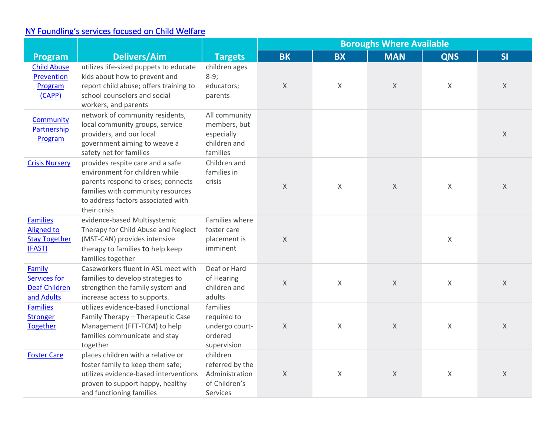## NY Foundling's [services focused on Child Welfare](https://www.nyfoundling.org/what-we-do/our-programs/child-welfare/yvlifeset/)

|                                                                     |                                                                                                                                                                                                      |                                                                                   | <b>Boroughs Where Available</b> |           |             |              |    |  |
|---------------------------------------------------------------------|------------------------------------------------------------------------------------------------------------------------------------------------------------------------------------------------------|-----------------------------------------------------------------------------------|---------------------------------|-----------|-------------|--------------|----|--|
| Program                                                             | <b>Delivers/Aim</b>                                                                                                                                                                                  | <b>Targets</b>                                                                    | <b>BK</b>                       | <b>BX</b> | <b>MAN</b>  | <b>QNS</b>   | SI |  |
| <b>Child Abuse</b><br>Prevention<br>Program<br>(CAPP)               | utilizes life-sized puppets to educate<br>kids about how to prevent and<br>report child abuse; offers training to<br>school counselors and social<br>workers, and parents                            | children ages<br>$8-9;$<br>educators;<br>parents                                  | $\chi$                          | X         | $\chi$      | $\mathsf{X}$ | X  |  |
| <b>Community</b><br>Partnership<br>Program                          | network of community residents,<br>local community groups, service<br>providers, and our local<br>government aiming to weave a<br>safety net for families                                            | All community<br>members, but<br>especially<br>children and<br>families           |                                 |           |             |              | X  |  |
| <b>Crisis Nursery</b>                                               | provides respite care and a safe<br>environment for children while<br>parents respond to crises; connects<br>families with community resources<br>to address factors associated with<br>their crisis | Children and<br>families in<br>crisis                                             | $\times$                        | $\times$  | $\mathsf X$ | $\times$     | X  |  |
| <b>Families</b><br>Aligned to<br><b>Stay Together</b><br>(FAST)     | evidence-based Multisystemic<br>Therapy for Child Abuse and Neglect<br>(MST-CAN) provides intensive<br>therapy to families to help keep<br>families together                                         | Families where<br>foster care<br>placement is<br>imminent                         | $\chi$                          |           |             | $\mathsf{X}$ |    |  |
| Family<br><b>Services for</b><br><b>Deaf Children</b><br>and Adults | Caseworkers fluent in ASL meet with<br>families to develop strategies to<br>strengthen the family system and<br>increase access to supports.                                                         | Deaf or Hard<br>of Hearing<br>children and<br>adults                              | $\mathsf X$                     | $\times$  | $\chi$      | $\sf X$      | X  |  |
| <b>Families</b><br><b>Stronger</b><br><b>Together</b>               | utilizes evidence-based Functional<br>Family Therapy - Therapeutic Case<br>Management (FFT-TCM) to help<br>families communicate and stay<br>together                                                 | families<br>required to<br>undergo court-<br>ordered<br>supervision               | $\times$                        | X         | $\chi$      | $\sf X$      | X  |  |
| <b>Foster Care</b>                                                  | places children with a relative or<br>foster family to keep them safe;<br>utilizes evidence-based interventions<br>proven to support happy, healthy<br>and functioning families                      | children<br>referred by the<br>Administration<br>of Children's<br><b>Services</b> | $\mathsf X$                     | X         | $\chi$      | $\mathsf{X}$ | X  |  |